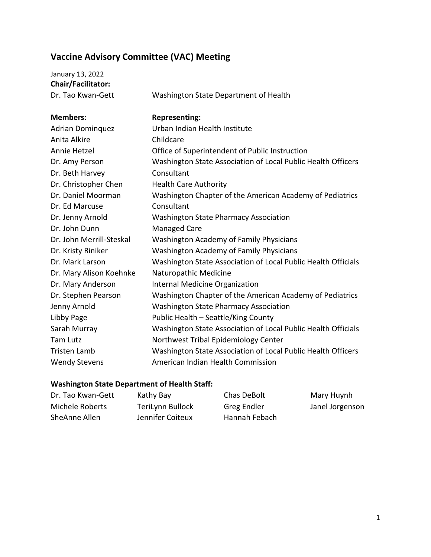## **Vaccine Advisory Committee (VAC) Meeting**

| January 13, 2022         |                                                               |
|--------------------------|---------------------------------------------------------------|
| Chair/Facilitator:       |                                                               |
| Dr. Tao Kwan-Gett        | Washington State Department of Health                         |
|                          |                                                               |
| <b>Members:</b>          | <b>Representing:</b>                                          |
| <b>Adrian Dominguez</b>  | Urban Indian Health Institute                                 |
| Anita Alkire             | Childcare                                                     |
| Annie Hetzel             | Office of Superintendent of Public Instruction                |
| Dr. Amy Person           | Washington State Association of Local Public Health Officers  |
| Dr. Beth Harvey          | Consultant                                                    |
| Dr. Christopher Chen     | <b>Health Care Authority</b>                                  |
| Dr. Daniel Moorman       | Washington Chapter of the American Academy of Pediatrics      |
| Dr. Ed Marcuse           | Consultant                                                    |
| Dr. Jenny Arnold         | <b>Washington State Pharmacy Association</b>                  |
| Dr. John Dunn            | <b>Managed Care</b>                                           |
| Dr. John Merrill-Steskal | <b>Washington Academy of Family Physicians</b>                |
| Dr. Kristy Riniker       | <b>Washington Academy of Family Physicians</b>                |
| Dr. Mark Larson          | Washington State Association of Local Public Health Officials |
| Dr. Mary Alison Koehnke  | Naturopathic Medicine                                         |
| Dr. Mary Anderson        | Internal Medicine Organization                                |
| Dr. Stephen Pearson      | Washington Chapter of the American Academy of Pediatrics      |
| Jenny Arnold             | <b>Washington State Pharmacy Association</b>                  |
| Libby Page               | Public Health - Seattle/King County                           |
| Sarah Murray             | Washington State Association of Local Public Health Officials |
| <b>Tam Lutz</b>          | Northwest Tribal Epidemiology Center                          |
| <b>Tristen Lamb</b>      | Washington State Association of Local Public Health Officers  |
| <b>Wendy Stevens</b>     | American Indian Health Commission                             |

## **Washington State Department of Health Staff:**

| Dr. Tao Kwan-Gett | Kathy Bay        | Chas DeBolt   | Mary Huynh      |
|-------------------|------------------|---------------|-----------------|
| Michele Roberts   | TeriLynn Bullock | Greg Endler   | Janel Jorgenson |
| SheAnne Allen     | Jennifer Coiteux | Hannah Febach |                 |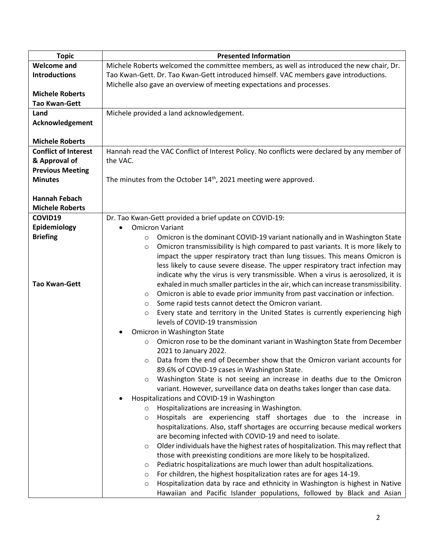| <b>Topic</b>                | <b>Presented Information</b>                                                                 |
|-----------------------------|----------------------------------------------------------------------------------------------|
| <b>Welcome and</b>          | Michele Roberts welcomed the committee members, as well as introduced the new chair, Dr.     |
| <b>Introductions</b>        | Tao Kwan-Gett. Dr. Tao Kwan-Gett introduced himself. VAC members gave introductions.         |
|                             | Michelle also gave an overview of meeting expectations and processes.                        |
| <b>Michele Roberts</b>      |                                                                                              |
| <b>Tao Kwan-Gett</b>        |                                                                                              |
| Land                        | Michele provided a land acknowledgement.                                                     |
| Acknowledgement             |                                                                                              |
|                             |                                                                                              |
| <b>Michele Roberts</b>      |                                                                                              |
| <b>Conflict of Interest</b> | Hannah read the VAC Conflict of Interest Policy. No conflicts were declared by any member of |
| & Approval of               | the VAC.                                                                                     |
|                             |                                                                                              |
| <b>Previous Meeting</b>     |                                                                                              |
| <b>Minutes</b>              | The minutes from the October 14 <sup>th</sup> , 2021 meeting were approved.                  |
|                             |                                                                                              |
| <b>Hannah Febach</b>        |                                                                                              |
| <b>Michele Roberts</b>      |                                                                                              |
| COVID19                     | Dr. Tao Kwan-Gett provided a brief update on COVID-19:                                       |
| Epidemiology                | <b>Omicron Variant</b>                                                                       |
| <b>Briefing</b>             | Omicron is the dominant COVID-19 variant nationally and in Washington State<br>$\circ$       |
|                             | Omicron transmissibility is high compared to past variants. It is more likely to<br>$\circ$  |
|                             | impact the upper respiratory tract than lung tissues. This means Omicron is                  |
|                             | less likely to cause severe disease. The upper respiratory tract infection may               |
|                             | indicate why the virus is very transmissible. When a virus is aerosolized, it is             |
| <b>Tao Kwan-Gett</b>        | exhaled in much smaller particles in the air, which can increase transmissibility.           |
|                             | Omicron is able to evade prior immunity from past vaccination or infection.<br>$\circ$       |
|                             | Some rapid tests cannot detect the Omicron variant.<br>$\circ$                               |
|                             | Every state and territory in the United States is currently experiencing high<br>$\circ$     |
|                             | levels of COVID-19 transmission                                                              |
|                             | Omicron in Washington State                                                                  |
|                             | Omicron rose to be the dominant variant in Washington State from December<br>$\circ$         |
|                             | 2021 to January 2022.                                                                        |
|                             | Data from the end of December show that the Omicron variant accounts for<br>$\circ$          |
|                             | 89.6% of COVID-19 cases in Washington State.                                                 |
|                             | Washington State is not seeing an increase in deaths due to the Omicron<br>$\circ$           |
|                             | variant. However, surveillance data on deaths takes longer than case data.                   |
|                             | Hospitalizations and COVID-19 in Washington                                                  |
|                             | Hospitalizations are increasing in Washington.<br>$\circ$                                    |
|                             | Hospitals are experiencing staff shortages due to the increase in<br>$\circ$                 |
|                             | hospitalizations. Also, staff shortages are occurring because medical workers                |
|                             | are becoming infected with COVID-19 and need to isolate.                                     |
|                             | Older individuals have the highest rates of hospitalization. This may reflect that           |
|                             | O                                                                                            |
|                             | those with preexisting conditions are more likely to be hospitalized.                        |
|                             | Pediatric hospitalizations are much lower than adult hospitalizations.<br>$\circ$            |
|                             | For children, the highest hospitalization rates are for ages 14-19.<br>$\circ$               |
|                             | Hospitalization data by race and ethnicity in Washington is highest in Native<br>$\circ$     |
|                             | Hawaiian and Pacific Islander populations, followed by Black and Asian                       |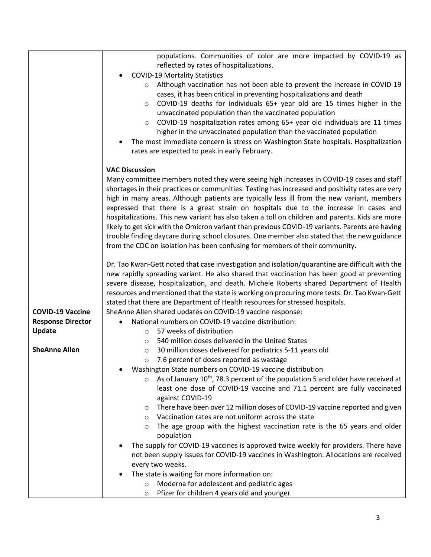|                          | populations. Communities of color are more impacted by COVID-19 as                                                                                                                            |
|--------------------------|-----------------------------------------------------------------------------------------------------------------------------------------------------------------------------------------------|
|                          | reflected by rates of hospitalizations.                                                                                                                                                       |
|                          | <b>COVID-19 Mortality Statistics</b>                                                                                                                                                          |
|                          | Although vaccination has not been able to prevent the increase in COVID-19<br>$\circ$                                                                                                         |
|                          | cases, it has been critical in preventing hospitalizations and death                                                                                                                          |
|                          | COVID-19 deaths for individuals 65+ year old are 15 times higher in the<br>$\circ$                                                                                                            |
|                          | unvaccinated population than the vaccinated population                                                                                                                                        |
|                          | COVID-19 hospitalization rates among 65+ year old individuals are 11 times<br>$\circ$                                                                                                         |
|                          | higher in the unvaccinated population than the vaccinated population                                                                                                                          |
|                          | The most immediate concern is stress on Washington State hospitals. Hospitalization                                                                                                           |
|                          | rates are expected to peak in early February.                                                                                                                                                 |
|                          |                                                                                                                                                                                               |
|                          | <b>VAC Discussion</b>                                                                                                                                                                         |
|                          | Many committee members noted they were seeing high increases in COVID-19 cases and staff                                                                                                      |
|                          | shortages in their practices or communities. Testing has increased and positivity rates are very                                                                                              |
|                          | high in many areas. Although patients are typically less ill from the new variant, members                                                                                                    |
|                          | expressed that there is a great strain on hospitals due to the increase in cases and                                                                                                          |
|                          | hospitalizations. This new variant has also taken a toll on children and parents. Kids are more                                                                                               |
|                          | likely to get sick with the Omicron variant than previous COVID-19 variants. Parents are having                                                                                               |
|                          | trouble finding daycare during school closures. One member also stated that the new guidance                                                                                                  |
|                          | from the CDC on isolation has been confusing for members of their community.                                                                                                                  |
|                          |                                                                                                                                                                                               |
|                          | Dr. Tao Kwan-Gett noted that case investigation and isolation/quarantine are difficult with the<br>new rapidly spreading variant. He also shared that vaccination has been good at preventing |
|                          | severe disease, hospitalization, and death. Michele Roberts shared Department of Health                                                                                                       |
|                          | resources and mentioned that the state is working on procuring more tests. Dr. Tao Kwan-Gett                                                                                                  |
|                          | stated that there are Department of Health resources for stressed hospitals.                                                                                                                  |
| <b>COVID-19 Vaccine</b>  | SheAnne Allen shared updates on COVID-19 vaccine response:                                                                                                                                    |
| <b>Response Director</b> | National numbers on COVID-19 vaccine distribution:<br>$\bullet$                                                                                                                               |
| <b>Update</b>            | 57 weeks of distribution<br>$\circ$                                                                                                                                                           |
|                          | 540 million doses delivered in the United States<br>$\circ$                                                                                                                                   |
| <b>SheAnne Allen</b>     | 30 million doses delivered for pediatrics 5-11 years old<br>$\circ$                                                                                                                           |
|                          | 7.6 percent of doses reported as wastage<br>$\circ$                                                                                                                                           |
|                          | Washington State numbers on COVID-19 vaccine distribution                                                                                                                                     |
|                          | As of January 10 <sup>th</sup> , 78.3 percent of the population 5 and older have received at<br>$\circ$                                                                                       |
|                          | least one dose of COVID-19 vaccine and 71.1 percent are fully vaccinated                                                                                                                      |
|                          | against COVID-19                                                                                                                                                                              |
|                          | There have been over 12 million doses of COVID-19 vaccine reported and given<br>$\circ$                                                                                                       |
|                          | Vaccination rates are not uniform across the state<br>$\circ$                                                                                                                                 |
|                          | The age group with the highest vaccination rate is the 65 years and older<br>$\circ$                                                                                                          |
|                          | population                                                                                                                                                                                    |
|                          | The supply for COVID-19 vaccines is approved twice weekly for providers. There have                                                                                                           |
|                          | not been supply issues for COVID-19 vaccines in Washington. Allocations are received                                                                                                          |
|                          | every two weeks.                                                                                                                                                                              |
|                          | The state is waiting for more information on:<br>Moderna for adolescent and pediatric ages<br>$\circ$                                                                                         |
|                          | Pfizer for children 4 years old and younger<br>$\circ$                                                                                                                                        |
|                          |                                                                                                                                                                                               |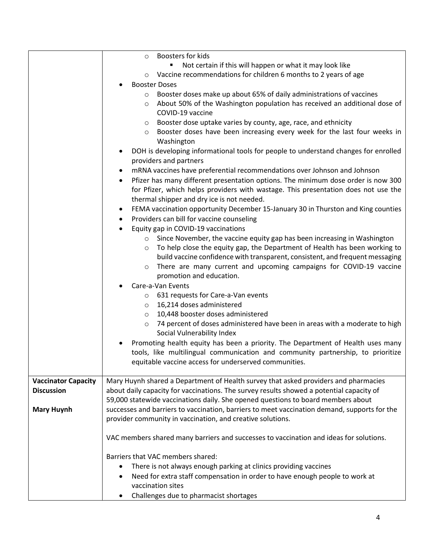|                            | Boosters for kids<br>$\circ$                                                                   |
|----------------------------|------------------------------------------------------------------------------------------------|
|                            | Not certain if this will happen or what it may look like                                       |
|                            | Vaccine recommendations for children 6 months to 2 years of age<br>$\circ$                     |
|                            | <b>Booster Doses</b>                                                                           |
|                            | Booster doses make up about 65% of daily administrations of vaccines<br>$\circ$                |
|                            | About 50% of the Washington population has received an additional dose of<br>$\circ$           |
|                            | COVID-19 vaccine                                                                               |
|                            | Booster dose uptake varies by county, age, race, and ethnicity<br>$\circ$                      |
|                            | Booster doses have been increasing every week for the last four weeks in<br>$\circ$            |
|                            | Washington                                                                                     |
|                            | DOH is developing informational tools for people to understand changes for enrolled            |
|                            | providers and partners                                                                         |
|                            | mRNA vaccines have preferential recommendations over Johnson and Johnson                       |
|                            | Pfizer has many different presentation options. The minimum dose order is now 300<br>$\bullet$ |
|                            | for Pfizer, which helps providers with wastage. This presentation does not use the             |
|                            | thermal shipper and dry ice is not needed.                                                     |
|                            | FEMA vaccination opportunity December 15-January 30 in Thurston and King counties<br>٠         |
|                            | Providers can bill for vaccine counseling<br>$\bullet$                                         |
|                            | Equity gap in COVID-19 vaccinations<br>$\bullet$                                               |
|                            | Since November, the vaccine equity gap has been increasing in Washington<br>$\circ$            |
|                            | To help close the equity gap, the Department of Health has been working to<br>$\circ$          |
|                            | build vaccine confidence with transparent, consistent, and frequent messaging                  |
|                            | There are many current and upcoming campaigns for COVID-19 vaccine<br>$\circ$                  |
|                            | promotion and education.                                                                       |
|                            | Care-a-Van Events                                                                              |
|                            | 631 requests for Care-a-Van events<br>$\circ$                                                  |
|                            | 16,214 doses administered<br>$\circ$                                                           |
|                            | 10,448 booster doses administered<br>$\circ$                                                   |
|                            | 74 percent of doses administered have been in areas with a moderate to high<br>$\circ$         |
|                            | Social Vulnerability Index                                                                     |
|                            | Promoting health equity has been a priority. The Department of Health uses many                |
|                            | tools, like multilingual communication and community partnership, to prioritize                |
|                            | equitable vaccine access for underserved communities.                                          |
|                            |                                                                                                |
| <b>Vaccinator Capacity</b> | Mary Huynh shared a Department of Health survey that asked providers and pharmacies            |
| <b>Discussion</b>          | about daily capacity for vaccinations. The survey results showed a potential capacity of       |
|                            | 59,000 statewide vaccinations daily. She opened questions to board members about               |
| <b>Mary Huynh</b>          | successes and barriers to vaccination, barriers to meet vaccination demand, supports for the   |
|                            | provider community in vaccination, and creative solutions.                                     |
|                            |                                                                                                |
|                            | VAC members shared many barriers and successes to vaccination and ideas for solutions.         |
|                            | Barriers that VAC members shared:                                                              |
|                            | There is not always enough parking at clinics providing vaccines<br>٠                          |
|                            | Need for extra staff compensation in order to have enough people to work at                    |
|                            | vaccination sites                                                                              |
|                            | Challenges due to pharmacist shortages<br>٠                                                    |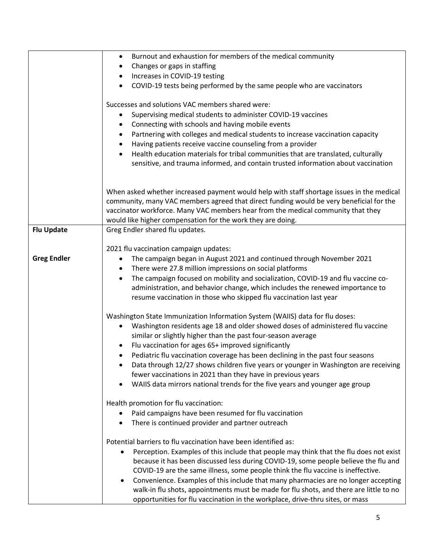|                    | Burnout and exhaustion for members of the medical community<br>$\bullet$                                                                                                                                                                                                 |
|--------------------|--------------------------------------------------------------------------------------------------------------------------------------------------------------------------------------------------------------------------------------------------------------------------|
|                    | Changes or gaps in staffing<br>٠                                                                                                                                                                                                                                         |
|                    | Increases in COVID-19 testing<br>٠                                                                                                                                                                                                                                       |
|                    | COVID-19 tests being performed by the same people who are vaccinators<br>$\bullet$                                                                                                                                                                                       |
|                    | Successes and solutions VAC members shared were:                                                                                                                                                                                                                         |
|                    | Supervising medical students to administer COVID-19 vaccines<br>$\bullet$                                                                                                                                                                                                |
|                    | Connecting with schools and having mobile events<br>٠                                                                                                                                                                                                                    |
|                    | Partnering with colleges and medical students to increase vaccination capacity<br>$\bullet$                                                                                                                                                                              |
|                    | Having patients receive vaccine counseling from a provider<br>٠                                                                                                                                                                                                          |
|                    | Health education materials for tribal communities that are translated, culturally<br>$\bullet$                                                                                                                                                                           |
|                    | sensitive, and trauma informed, and contain trusted information about vaccination                                                                                                                                                                                        |
|                    |                                                                                                                                                                                                                                                                          |
|                    | When asked whether increased payment would help with staff shortage issues in the medical<br>community, many VAC members agreed that direct funding would be very beneficial for the<br>vaccinator workforce. Many VAC members hear from the medical community that they |
|                    | would like higher compensation for the work they are doing.                                                                                                                                                                                                              |
| <b>Flu Update</b>  | Greg Endler shared flu updates.                                                                                                                                                                                                                                          |
|                    |                                                                                                                                                                                                                                                                          |
| <b>Greg Endler</b> | 2021 flu vaccination campaign updates:<br>The campaign began in August 2021 and continued through November 2021<br>٠                                                                                                                                                     |
|                    | There were 27.8 million impressions on social platforms<br>٠                                                                                                                                                                                                             |
|                    | The campaign focused on mobility and socialization, COVID-19 and flu vaccine co-<br>$\bullet$                                                                                                                                                                            |
|                    | administration, and behavior change, which includes the renewed importance to                                                                                                                                                                                            |
|                    | resume vaccination in those who skipped flu vaccination last year                                                                                                                                                                                                        |
|                    | Washington State Immunization Information System (WAIIS) data for flu doses:                                                                                                                                                                                             |
|                    | Washington residents age 18 and older showed doses of administered flu vaccine<br>$\bullet$                                                                                                                                                                              |
|                    | similar or slightly higher than the past four-season average                                                                                                                                                                                                             |
|                    | Flu vaccination for ages 65+ improved significantly                                                                                                                                                                                                                      |
|                    | Pediatric flu vaccination coverage has been declining in the past four seasons                                                                                                                                                                                           |
|                    | Data through 12/27 shows children five years or younger in Washington are receiving                                                                                                                                                                                      |
|                    | fewer vaccinations in 2021 than they have in previous years                                                                                                                                                                                                              |
|                    | WAIIS data mirrors national trends for the five years and younger age group<br>$\bullet$                                                                                                                                                                                 |
|                    | Health promotion for flu vaccination:                                                                                                                                                                                                                                    |
|                    | Paid campaigns have been resumed for flu vaccination                                                                                                                                                                                                                     |
|                    | There is continued provider and partner outreach                                                                                                                                                                                                                         |
|                    | Potential barriers to flu vaccination have been identified as:                                                                                                                                                                                                           |
|                    | Perception. Examples of this include that people may think that the flu does not exist                                                                                                                                                                                   |
|                    | because it has been discussed less during COVID-19, some people believe the flu and                                                                                                                                                                                      |
|                    | COVID-19 are the same illness, some people think the flu vaccine is ineffective.                                                                                                                                                                                         |
|                    | Convenience. Examples of this include that many pharmacies are no longer accepting<br>$\bullet$                                                                                                                                                                          |
|                    | walk-in flu shots, appointments must be made for flu shots, and there are little to no                                                                                                                                                                                   |
|                    | opportunities for flu vaccination in the workplace, drive-thru sites, or mass                                                                                                                                                                                            |